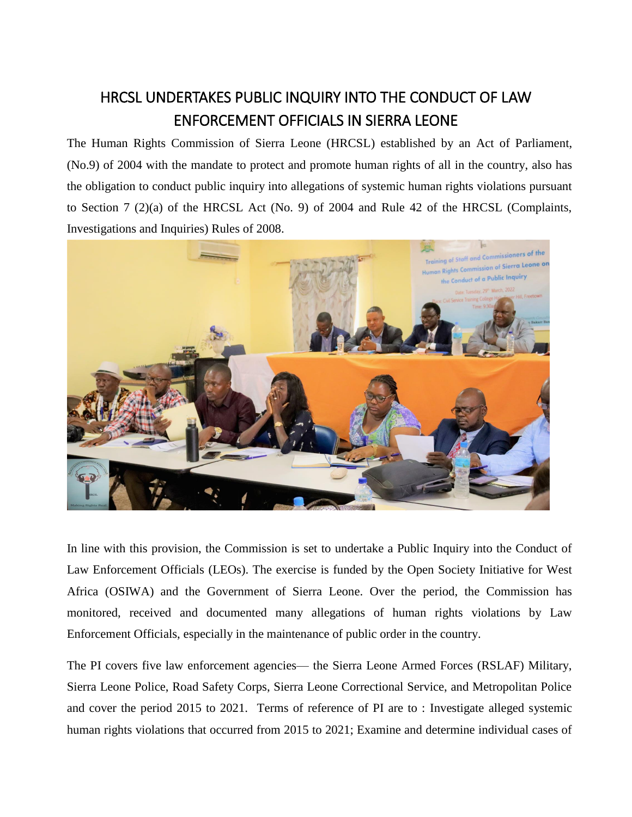## HRCSL UNDERTAKES PUBLIC INQUIRY INTO THE CONDUCT OF LAW ENFORCEMENT OFFICIALS IN SIERRA LEONE

The Human Rights Commission of Sierra Leone (HRCSL) established by an Act of Parliament, (No.9) of 2004 with the mandate to protect and promote human rights of all in the country, also has the obligation to conduct public inquiry into allegations of systemic human rights violations pursuant to Section 7 (2)(a) of the HRCSL Act (No. 9) of 2004 and Rule 42 of the HRCSL (Complaints, Investigations and Inquiries) Rules of 2008.



In line with this provision, the Commission is set to undertake a Public Inquiry into the Conduct of Law Enforcement Officials (LEOs). The exercise is funded by the Open Society Initiative for West Africa (OSIWA) and the Government of Sierra Leone. Over the period, the Commission has monitored, received and documented many allegations of human rights violations by Law Enforcement Officials, especially in the maintenance of public order in the country.

The PI covers five law enforcement agencies— the Sierra Leone Armed Forces (RSLAF) Military, Sierra Leone Police, Road Safety Corps, Sierra Leone Correctional Service, and Metropolitan Police and cover the period 2015 to 2021. Terms of reference of PI are to : Investigate alleged systemic human rights violations that occurred from 2015 to 2021; Examine and determine individual cases of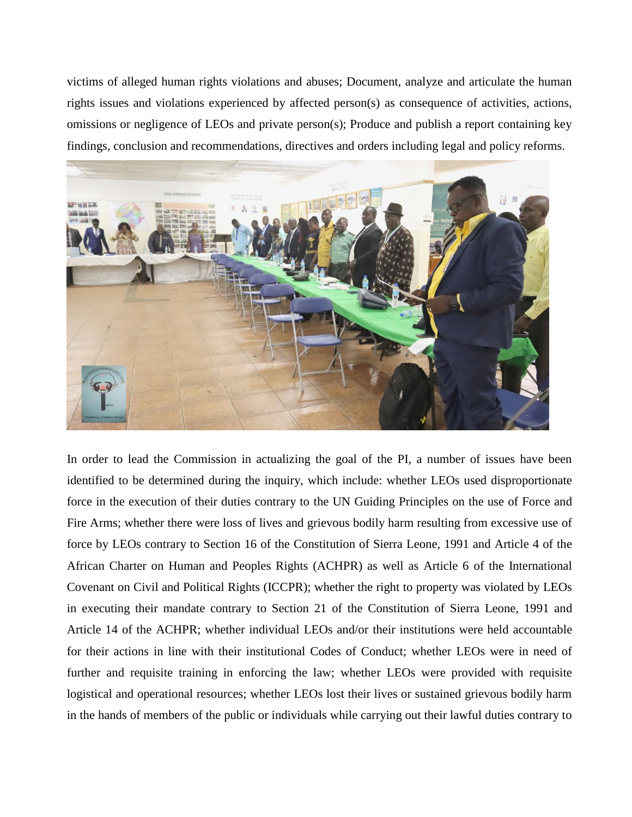victims of alleged human rights violations and abuses; Document, analyze and articulate the human rights issues and violations experienced by affected person(s) as consequence of activities, actions, omissions or negligence of LEOs and private person(s); Produce and publish a report containing key findings, conclusion and recommendations, directives and orders including legal and policy reforms.



In order to lead the Commission in actualizing the goal of the PI, a number of issues have been identified to be determined during the inquiry, which include: whether LEOs used disproportionate force in the execution of their duties contrary to the UN Guiding Principles on the use of Force and Fire Arms; whether there were loss of lives and grievous bodily harm resulting from excessive use of force by LEOs contrary to Section 16 of the Constitution of Sierra Leone, 1991 and Article 4 of the African Charter on Human and Peoples Rights (ACHPR) as well as Article 6 of the International Covenant on Civil and Political Rights (ICCPR); whether the right to property was violated by LEOs in executing their mandate contrary to Section 21 of the Constitution of Sierra Leone, 1991 and Article 14 of the ACHPR; whether individual LEOs and/or their institutions were held accountable for their actions in line with their institutional Codes of Conduct; whether LEOs were in need of further and requisite training in enforcing the law; whether LEOs were provided with requisite logistical and operational resources; whether LEOs lost their lives or sustained grievous bodily harm in the hands of members of the public or individuals while carrying out their lawful duties contrary to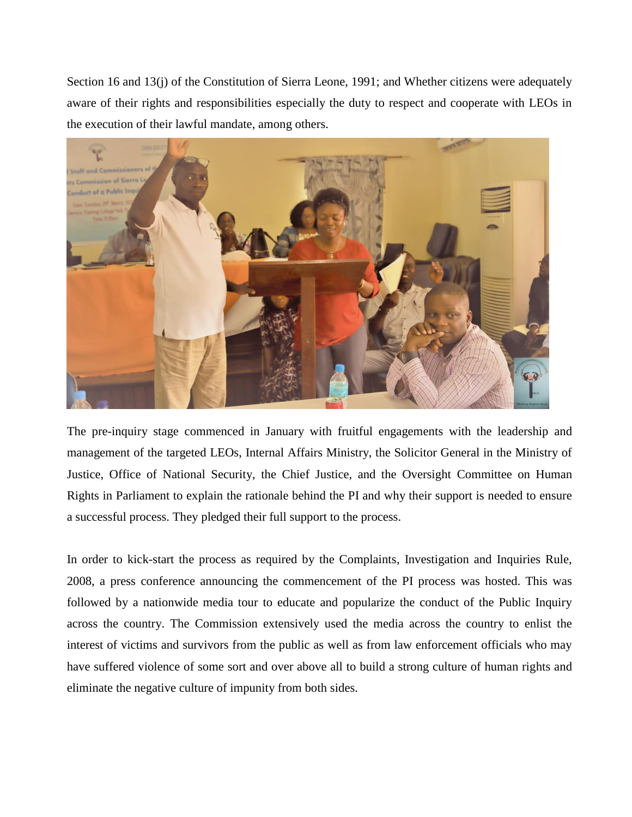Section 16 and 13(j) of the Constitution of Sierra Leone, 1991; and Whether citizens were adequately aware of their rights and responsibilities especially the duty to respect and cooperate with LEOs in the execution of their lawful mandate, among others.



The pre-inquiry stage commenced in January with fruitful engagements with the leadership and management of the targeted LEOs, Internal Affairs Ministry, the Solicitor General in the Ministry of Justice, Office of National Security, the Chief Justice, and the Oversight Committee on Human Rights in Parliament to explain the rationale behind the PI and why their support is needed to ensure a successful process. They pledged their full support to the process.

In order to kick-start the process as required by the Complaints, Investigation and Inquiries Rule, 2008, a press conference announcing the commencement of the PI process was hosted. This was followed by a nationwide media tour to educate and popularize the conduct of the Public Inquiry across the country. The Commission extensively used the media across the country to enlist the interest of victims and survivors from the public as well as from law enforcement officials who may have suffered violence of some sort and over above all to build a strong culture of human rights and eliminate the negative culture of impunity from both sides.